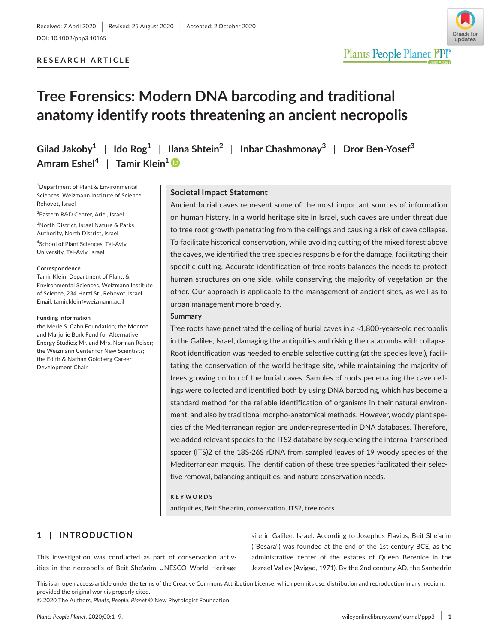# **RESEARCH ARTICLE**



# **Tree Forensics: Modern DNA barcoding and traditional anatomy identify roots threatening an ancient necropolis**

**Gilad Jakoby1** | **Ido Rog1** | **Ilana Shtein<sup>2</sup>** | **Inbar Chashmonay<sup>3</sup>** | **Dror Ben-Yosef<sup>3</sup>** | **Amram Eshel<sup>4</sup>** | **Tamir Klein[1](https://orcid.org/0000-0002-3882-8845)**

1 Department of Plant & Environmental Sciences, Weizmann Institute of Science, Rehovot, Israel

<sup>2</sup>Eastern R&D Center, Ariel, Israel

3 North District, Israel Nature & Parks Authority, North District, Israel

4 School of Plant Sciences, Tel-Aviv University, Tel-Aviv, Israel

#### **Correspondence**

Tamir Klein, Department of Plant, & Environmental Sciences, Weizmann Institute of Science, 234 Herzl St., Rehovot, Israel. Email: [tamir.klein@weizmann.ac.il](mailto:tamir.klein@weizmann.ac.il)

#### **Funding information**

the Merle S. Cahn Foundation; the Monroe and Marjorie Burk Fund for Alternative Energy Studies; Mr. and Mrs. Norman Reiser; the Weizmann Center for New Scientists; the Edith & Nathan Goldberg Career Development Chair

#### **Societal Impact Statement**

Ancient burial caves represent some of the most important sources of information on human history. In a world heritage site in Israel, such caves are under threat due to tree root growth penetrating from the ceilings and causing a risk of cave collapse. To facilitate historical conservation, while avoiding cutting of the mixed forest above the caves, we identified the tree species responsible for the damage, facilitating their specific cutting. Accurate identification of tree roots balances the needs to protect human structures on one side, while conserving the majority of vegetation on the other. Our approach is applicable to the management of ancient sites, as well as to urban management more broadly.

#### **Summary**

Tree roots have penetrated the ceiling of burial caves in a  $\sim$ 1,800-years-old necropolis in the Galilee, Israel, damaging the antiquities and risking the catacombs with collapse. Root identification was needed to enable selective cutting (at the species level), facilitating the conservation of the world heritage site, while maintaining the majority of trees growing on top of the burial caves. Samples of roots penetrating the cave ceilings were collected and identified both by using DNA barcoding, which has become a standard method for the reliable identification of organisms in their natural environment, and also by traditional morpho-anatomical methods. However, woody plant species of the Mediterranean region are under-represented in DNA databases. Therefore, we added relevant species to the ITS2 database by sequencing the internal transcribed spacer (ITS)2 of the 18S-26S rDNA from sampled leaves of 19 woody species of the Mediterranean maquis. The identification of these tree species facilitated their selective removal, balancing antiquities, and nature conservation needs.

#### **KEYWORDS**

antiquities, Beit She'arim, conservation, ITS2, tree roots

# **1** | **INTRODUCTION**

This investigation was conducted as part of conservation activities in the necropolis of Beit She'arim UNESCO World Heritage site in Galilee, Israel. According to Josephus Flavius, Beit She'arim ("Besara") was founded at the end of the 1st century BCE, as the administrative center of the estates of Queen Berenice in the Jezreel Valley (Avigad, 1971). By the 2nd century AD, the Sanhedrin

This is an open access article under the terms of the [Creative Commons Attribution](http://creativecommons.org/licenses/by/4.0/) License, which permits use, distribution and reproduction in any medium, provided the original work is properly cited.

© 2020 The Authors, *Plants, People, Planet* © New Phytologist Foundation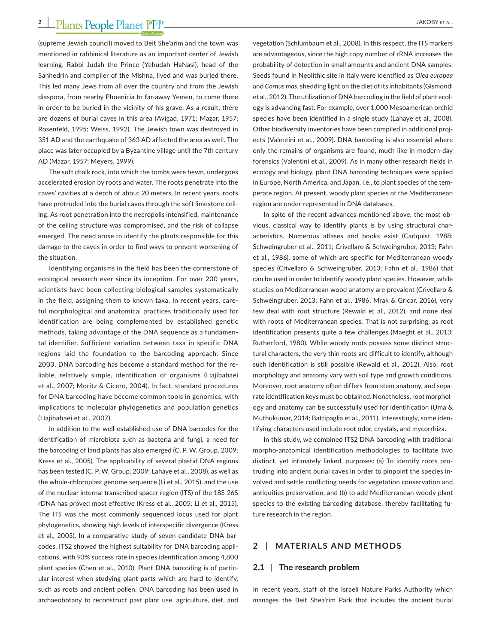(supreme Jewish council) moved to Beit She'arim and the town was mentioned in rabbinical literature as an important center of Jewish learning. Rabbi Judah the Prince (Yehudah HaNasi), head of the Sanhedrin and compiler of the Mishna, lived and was buried there. This led many Jews from all over the country and from the Jewish diaspora, from nearby Phoenicia to far-away Yemen, to come there in order to be buried in the vicinity of his grave. As a result, there are dozens of burial caves in this area (Avigad, 1971; Mazar, 1957; Rosenfeld, 1995; Weiss, 1992). The Jewish town was destroyed in 351 AD and the earthquake of 363 AD affected the area as well. The place was later occupied by a Byzantine village until the 7th century AD (Mazar, 1957; Meyers, 1999).

The soft chalk rock, into which the tombs were hewn, undergoes accelerated erosion by roots and water. The roots penetrate into the caves' cavities at a depth of about 20 meters. In recent years, roots have protruded into the burial caves through the soft limestone ceiling. As root penetration into the necropolis intensified, maintenance of the ceiling structure was compromised, and the risk of collapse emerged. The need arose to identify the plants responsible for this damage to the caves in order to find ways to prevent worsening of the situation.

Identifying organisms in the field has been the cornerstone of ecological research ever since its inception. For over 200 years, scientists have been collecting biological samples systematically in the field, assigning them to known taxa. In recent years, careful morphological and anatomical practices traditionally used for identification are being complemented by established genetic methods, taking advantage of the DNA sequence as a fundamental identifier. Sufficient variation between taxa in specific DNA regions laid the foundation to the barcoding approach. Since 2003, DNA barcoding has become a standard method for the reliable, relatively simple, identification of organisms (Hajibabaei et al., 2007; Moritz & Cicero, 2004). In fact, standard procedures for DNA barcoding have become common tools in genomics, with implications to molecular phylogenetics and population genetics (Hajibabaei et al., 2007).

In addition to the well-established use of DNA barcodes for the identification of microbiota such as bacteria and fungi, a need for the barcoding of land plants has also emerged (C. P. W. Group, 2009; Kress et al., 2005). The applicability of several plastid DNA regions has been tested (C. P. W. Group, 2009; Lahaye et al., 2008), as well as the whole-chloroplast genome sequence (Li et al., 2015), and the use of the nuclear internal transcribed spacer region (ITS) of the 18S-26S rDNA has proved most effective (Kress et al., 2005; Li et al., 2015). The ITS was the most commonly sequenced locus used for plant phylogenetics, showing high levels of interspecific divergence (Kress et al., 2005). In a comparative study of seven candidate DNA barcodes, ITS2 showed the highest suitability for DNA barcoding applications, with 93% success rate in species identification among 4,800 plant species (Chen et al., 2010). Plant DNA barcoding is of particular interest when studying plant parts which are hard to identify, such as roots and ancient pollen. DNA barcoding has been used in archaeobotany to reconstruct past plant use, agriculture, diet, and

vegetation (Schlumbaum et al., 2008). In this respect, the ITS markers are advantageous, since the high copy number of rRNA increases the probability of detection in small amounts and ancient DNA samples. Seeds found in Neolithic site in Italy were identified as *Olea europea* and *Cornus mas*, shedding light on the diet of its inhabitants (Gismondi et al., 2012). The utilization of DNA barcoding in the field of plant ecology is advancing fast. For example, over 1,000 Mesoamerican orchid species have been identified in a single study (Lahaye et al., 2008). Other biodiversity inventories have been compiled in additional projects (Valentini et al., 2009). DNA barcoding is also essential where only the remains of organisms are found, much like in modern-day forensics (Valentini et al., 2009). As in many other research fields in ecology and biology, plant DNA barcoding techniques were applied in Europe, North America, and Japan, i.e., to plant species of the temperate region. At present, woody plant species of the Mediterranean region are under-represented in DNA databases.

In spite of the recent advances mentioned above, the most obvious, classical way to identify plants is by using structural characteristics. Numerous atlases and books exist (Carlquist, 1988; Schweingruber et al., 2011; Crivellaro & Schweingruber, 2013; Fahn et al., 1986), some of which are specific for Mediterranean woody species (Crivellaro & Schweingruber, 2013; Fahn et al., 1986) that can be used in order to identify woody plant species. However, while studies on Mediterranean wood anatomy are prevalent (Crivellaro & Schweingruber, 2013; Fahn et al., 1986; Mrak & Gricar, 2016), very few deal with root structure (Rewald et al., 2012), and none deal with roots of Mediterranean species. That is not surprising, as root identification presents quite a few challenges (Maeght et al., 2013; Rutherford, 1980). While woody roots possess some distinct structural characters, the very thin roots are difficult to identify, although such identification is still possible (Rewald et al., 2012). Also, root morphology and anatomy vary with soil type and growth conditions. Moreover, root anatomy often differs from stem anatomy, and separate identification keys must be obtained. Nonetheless, root morphology and anatomy can be successfully used for identification (Uma & Muthukumar, 2014; Battipaglia et al., 2011). Interestingly, some identifying characters used include root odor, crystals, and mycorrhiza.

In this study, we combined ITS2 DNA barcoding with traditional morpho-anatomical identification methodologies to facilitate two distinct, yet intimately linked, purposes: (a) To identify roots protruding into ancient burial caves in order to pinpoint the species involved and settle conflicting needs for vegetation conservation and antiquities preservation, and (b) to add Mediterranean woody plant species to the existing barcoding database, thereby facilitating future research in the region.

# **2** | **MATERIALS AND METHODS**

#### **2.1** | **The research problem**

In recent years, staff of the Israeli Nature Parks Authority which manages the Beit Shea'rim Park that includes the ancient burial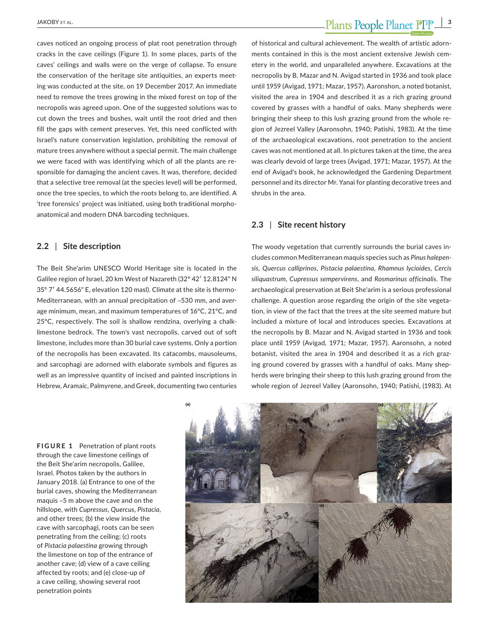caves noticed an ongoing process of plat root penetration through cracks in the cave ceilings (Figure 1). In some places, parts of the caves' ceilings and walls were on the verge of collapse. To ensure the conservation of the heritage site antiquities, an experts meeting was conducted at the site, on 19 December 2017. An immediate need to remove the trees growing in the mixed forest on top of the necropolis was agreed upon. One of the suggested solutions was to cut down the trees and bushes, wait until the root dried and then fill the gaps with cement preserves. Yet, this need conflicted with Israel's nature conservation legislation, prohibiting the removal of mature trees anywhere without a special permit. The main challenge we were faced with was identifying which of all the plants are responsible for damaging the ancient caves. It was, therefore, decided that a selective tree removal (at the species level) will be performed, once the tree species, to which the roots belong to, are identified. A 'tree forensics' project was initiated, using both traditional morphoanatomical and modern DNA barcoding techniques.

#### **2.2** | **Site description**

The Beit She'arim UNESCO World Heritage site is located in the Galilee region of Israel, 20 km West of Nazareth (32° 42′ 12.8124" N 35° 7′ 44.5656" E, elevation 120 masl). Climate at the site is thermo-Mediterranean, with an annual precipitation of ~530 mm, and average minimum, mean, and maximum temperatures of 16°C, 21°C, and 25°C, respectively. The soil is shallow rendzina, overlying a chalklimestone bedrock. The town's vast necropolis, carved out of soft limestone, includes more than 30 burial cave systems. Only a portion of the necropolis has been excavated. Its catacombs, mausoleums, and sarcophagi are adorned with elaborate symbols and figures as well as an impressive quantity of incised and painted inscriptions in Hebrew, Aramaic, Palmyrene, and Greek, documenting two centuries

of historical and cultural achievement. The wealth of artistic adornments contained in this is the most ancient extensive Jewish cemetery in the world, and unparalleled anywhere. Excavations at the necropolis by B. Mazar and N. Avigad started in 1936 and took place until 1959 (Avigad, 1971; Mazar, 1957). Aaronshon, a noted botanist, visited the area in 1904 and described it as a rich grazing ground covered by grasses with a handful of oaks. Many shepherds were bringing their sheep to this lush grazing ground from the whole region of Jezreel Valley (Aaronsohn, 1940; Patishi, 1983). At the time of the archaeological excavations, root penetration to the ancient caves was not mentioned at all. In pictures taken at the time, the area was clearly devoid of large trees (Avigad, 1971; Mazar, 1957). At the end of Avigad's book, he acknowledged the Gardening Department personnel and its director Mr. Yanai for planting decorative trees and shrubs in the area.

#### **2.3** | **Site recent history**

The woody vegetation that currently surrounds the burial caves includes common Mediterranean maquis species such as *Pinus halepensis, Quercus calliprinos*, *Pistacia palaestina*, *Rhamnus lycioides, Cercis siliquastrum*, *Cupressus sempervirens*, and *Rosmarinus officinalis*. The archaeological preservation at Beit She'arim is a serious professional challenge. A question arose regarding the origin of the site vegetation, in view of the fact that the trees at the site seemed mature but included a mixture of local and introduces species. Excavations at the necropolis by B. Mazar and N. Avigad started in 1936 and took place until 1959 (Avigad, 1971; Mazar, 1957). Aaronsohn, a noted botanist, visited the area in 1904 and described it as a rich grazing ground covered by grasses with a handful of oaks. Many shepherds were bringing their sheep to this lush grazing ground from the whole region of Jezreel Valley (Aaronsohn, 1940; Patishi, (1983). At

**FIGURE 1** Penetration of plant roots through the cave limestone ceilings of the Beit She'arim necropolis, Galilee, Israel. Photos taken by the authors in January 2018. (a) Entrance to one of the burial caves, showing the Mediterranean maquis ~5 m above the cave and on the hillslope, with *Cupressus*, *Quercus*, *Pistacia*, and other trees; (b) the view inside the cave with sarcophagi, roots can be seen penetrating from the ceiling; (c) roots of *Pistacia palaestina* growing through the limestone on top of the entrance of another cave; (d) view of a cave ceiling affected by roots; and (e) close-up of a cave ceiling, showing several root penetration points

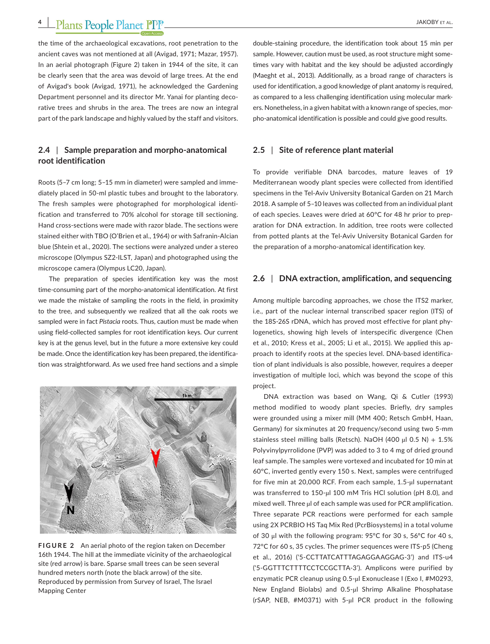# **4 |**  JAKOBY et al.

the time of the archaeological excavations, root penetration to the ancient caves was not mentioned at all (Avigad, 1971; Mazar, 1957). In an aerial photograph (Figure 2) taken in 1944 of the site, it can be clearly seen that the area was devoid of large trees. At the end of Avigad's book (Avigad, 1971), he acknowledged the Gardening Department personnel and its director Mr. Yanai for planting decorative trees and shrubs in the area. The trees are now an integral part of the park landscape and highly valued by the staff and visitors.

## **2.4** | **Sample preparation and morpho-anatomical root identification**

Roots (5–7 cm long; 5–15 mm in diameter) were sampled and immediately placed in 50-ml plastic tubes and brought to the laboratory. The fresh samples were photographed for morphological identification and transferred to 70% alcohol for storage till sectioning. Hand cross-sections were made with razor blade. The sections were stained either with TBO (O'Brien et al., 1964) or with Safranin-Alcian blue (Shtein et al., 2020). The sections were analyzed under a stereo microscope (Olympus SZ2-ILST, Japan) and photographed using the microscope camera (Olympus LC20, Japan).

The preparation of species identification key was the most time-consuming part of the morpho-anatomical identification. At first we made the mistake of sampling the roots in the field, in proximity to the tree, and subsequently we realized that all the oak roots we sampled were in fact *Pistacia* roots. Thus, caution must be made when using field-collected samples for root identification keys. Our current key is at the genus level, but in the future a more extensive key could be made. Once the identification key has been prepared, the identification was straightforward. As we used free hand sections and a simple



**FIGURE 2** An aerial photo of the region taken on December 16th 1944. The hill at the immediate vicinity of the archaeological site (red arrow) is bare. Sparse small trees can be seen several hundred meters north (note the black arrow) of the site. Reproduced by permission from Survey of Israel, The Israel Mapping Center

double-staining procedure, the identification took about 15 min per sample. However, caution must be used, as root structure might sometimes vary with habitat and the key should be adjusted accordingly (Maeght et al., 2013). Additionally, as a broad range of characters is used for identification, a good knowledge of plant anatomy is required, as compared to a less challenging identification using molecular markers. Nonetheless, in a given habitat with a known range of species, morpho-anatomical identification is possible and could give good results.

#### **2.5** | **Site of reference plant material**

To provide verifiable DNA barcodes, mature leaves of 19 Mediterranean woody plant species were collected from identified specimens in the Tel-Aviv University Botanical Garden on 21 March 2018. A sample of 5–10 leaves was collected from an individual plant of each species. Leaves were dried at 60°C for 48 hr prior to preparation for DNA extraction. In addition, tree roots were collected from potted plants at the Tel-Aviv University Botanical Garden for the preparation of a morpho-anatomical identification key.

#### **2.6** | **DNA extraction, amplification, and sequencing**

Among multiple barcoding approaches, we chose the ITS2 marker, i.e., part of the nuclear internal transcribed spacer region (ITS) of the 18S-26S rDNA, which has proved most effective for plant phylogenetics, showing high levels of interspecific divergence (Chen et al., 2010; Kress et al., 2005; Li et al., 2015). We applied this approach to identify roots at the species level. DNA-based identification of plant individuals is also possible, however, requires a deeper investigation of multiple loci, which was beyond the scope of this project.

DNA extraction was based on Wang, Qi & Cutler (1993) method modified to woody plant species. Briefly, dry samples were grounded using a mixer mill (MM 400; Retsch GmbH, Haan, Germany) for six minutes at 20 frequency/second using two 5-mm stainless steel milling balls (Retsch). NaOH (400  $\mu$ l 0.5 N) + 1.5% Polyvinylpyrrolidone (PVP) was added to 3 to 4 mg of dried ground leaf sample. The samples were vortexed and incubated for 10 min at 60°C, inverted gently every 150 s. Next, samples were centrifuged for five min at 20,000 RCF. From each sample, 1.5-µl supernatant was transferred to 150-µl 100 mM Tris HCl solution (pH 8.0), and mixed well. Three µl of each sample was used for PCR amplification. Three separate PCR reactions were performed for each sample using 2X PCRBIO HS Taq Mix Red (PcrBiosystems) in a total volume of 30 μl with the following program: 95°C for 30 s, 56°C for 40 s, 72°C for 60 s, 35 cycles. The primer sequences were ITS-p5 (Cheng et al., 2016) ('5-CCTTATCATTTAGAGGAAGGAG-3') and ITS-u4 ('5-GGTTTCTTTTCCTCCGCTTA-3'). Amplicons were purified by enzymatic PCR cleanup using 0.5-µl Exonuclease I (Exo I, #M0293, New England Biolabs) and 0.5-µl Shrimp Alkaline Phosphatase (rSAP, NEB, #M0371) with 5-µl PCR product in the following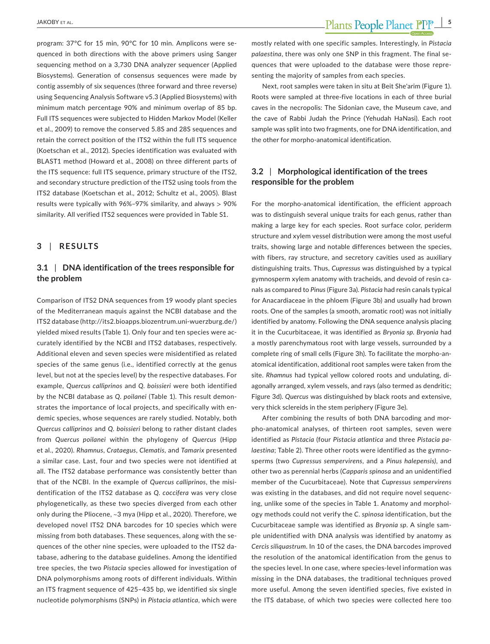program: 37°C for 15 min, 90°C for 10 min. Amplicons were sequenced in both directions with the above primers using Sanger sequencing method on a 3,730 DNA analyzer sequencer (Applied Biosystems). Generation of consensus sequences were made by contig assembly of six sequences (three forward and three reverse) using Sequencing Analysis Software v5.3 (Applied Biosystems) with minimum match percentage 90% and minimum overlap of 85 bp. Full ITS sequences were subjected to Hidden Markov Model (Keller et al., 2009) to remove the conserved 5.8S and 28S sequences and retain the correct position of the ITS2 within the full ITS sequence (Koetschan et al., 2012). Species identification was evaluated with BLAST1 method (Howard et al., 2008) on three different parts of the ITS sequence: full ITS sequence, primary structure of the ITS2, and secondary structure prediction of the ITS2 using tools from the ITS2 database (Koetschan et al., 2012; Schultz et al., 2005). Blast results were typically with 96%–97% similarity, and always > 90% similarity. All verified ITS2 sequences were provided in Table S1.

### **3** | **RESULTS**

## **3.1** | **DNA identification of the trees responsible for the problem**

Comparison of ITS2 DNA sequences from 19 woody plant species of the Mediterranean maquis against the NCBI database and the ITS2 database ([http://its2.bioapps.biozentrum.uni-wuerzburg.de/\)](http://its2.bioapps.biozentrum.uni-wuerzburg.de/) yielded mixed results (Table 1). Only four and ten species were accurately identified by the NCBI and ITS2 databases, respectively. Additional eleven and seven species were misidentified as related species of the same genus (i.e., identified correctly at the genus level, but not at the species level) by the respective databases. For example, *Quercus calliprinos* and *Q. boissieri* were both identified by the NCBI database as *Q. poilanei* (Table 1). This result demonstrates the importance of local projects, and specifically with endemic species, whose sequences are rarely studied. Notably, both *Quercus calliprinos* and *Q. boissieri* belong to rather distant clades from *Quercus poilanei* within the phylogeny of *Quercus* (Hipp et al., 2020). *Rhamnus*, *Crataegus*, *Clematis,* and *Tamarix* presented a similar case. Last, four and two species were not identified at all. The ITS2 database performance was consistently better than that of the NCBI. In the example of *Quercus calliprinos*, the misidentification of the ITS2 database as *Q. coccifera* was very close phylogenetically, as these two species diverged from each other only during the Pliocene, ~3 mya (Hipp et al., 2020). Therefore, we developed novel ITS2 DNA barcodes for 10 species which were missing from both databases. These sequences, along with the sequences of the other nine species, were uploaded to the ITS2 database, adhering to the database guidelines. Among the identified tree species, the two *Pistacia* species allowed for investigation of DNA polymorphisms among roots of different individuals. Within an ITS fragment sequence of 425–435 bp, we identified six single nucleotide polymorphisms (SNPs) in *Pistacia atlantica*, which were

mostly related with one specific samples. Interestingly, in *Pistacia palaestina*, there was only one SNP in this fragment. The final sequences that were uploaded to the database were those representing the majority of samples from each species.

Next, root samples were taken in situ at Beit She'arim (Figure 1). Roots were sampled at three-five locations in each of three burial caves in the necropolis: The Sidonian cave, the Museum cave, and the cave of Rabbi Judah the Prince (Yehudah HaNasi). Each root sample was split into two fragments, one for DNA identification, and the other for morpho-anatomical identification.

## **3.2** | **Morphological identification of the trees responsible for the problem**

For the morpho-anatomical identification, the efficient approach was to distinguish several unique traits for each genus, rather than making a large key for each species. Root surface color, periderm structure and xylem vessel distribution were among the most useful traits, showing large and notable differences between the species, with fibers, ray structure, and secretory cavities used as auxiliary distinguishing traits. Thus, *Cupressus* was distinguished by a typical gymnosperm xylem anatomy with tracheids, and devoid of resin canals as compared to *Pinus* (Figure 3a). *Pistacia* had resin canals typical for Anacardiaceae in the phloem (Figure 3b) and usually had brown roots. One of the samples (a smooth, aromatic root) was not initially identified by anatomy. Following the DNA sequence analysis placing it in the Cucurbitaceae, it was identified as *Bryonia sp. Bryonia* had a mostly parenchymatous root with large vessels, surrounded by a complete ring of small cells (Figure 3h). To facilitate the morpho-anatomical identification, additional root samples were taken from the site. *Rhamnus* had typical yellow colored roots and undulating, diagonally arranged, xylem vessels, and rays (also termed as dendritic; Figure 3d). *Quercus* was distinguished by black roots and extensive, very thick sclereids in the stem periphery (Figure 3e).

After combining the results of both DNA barcoding and morpho-anatomical analyses, of thirteen root samples, seven were identified as *Pistacia* (four *Pistacia atlantica* and three *Pistacia palaestina*; Table 2). Three other roots were identified as the gymnosperms (two *Cupressus sempervirens*, and a *Pinus halepensis)*, and other two as perennial herbs (*Capparis spinosa* and an unidentified member of the Cucurbitaceae). Note that *Cupressus sempervirens* was existing in the databases, and did not require novel sequencing, unlike some of the species in Table 1. Anatomy and morphology methods could not verify the *C. spinosa* identification, but the Cucurbitaceae sample was identified as *Bryonia sp*. A single sample unidentified with DNA analysis was identified by anatomy as *Cercis siliquastrum*. In 10 of the cases, the DNA barcodes improved the resolution of the anatomical identification from the genus to the species level. In one case, where species-level information was missing in the DNA databases, the traditional techniques proved more useful. Among the seven identified species, five existed in the ITS database, of which two species were collected here too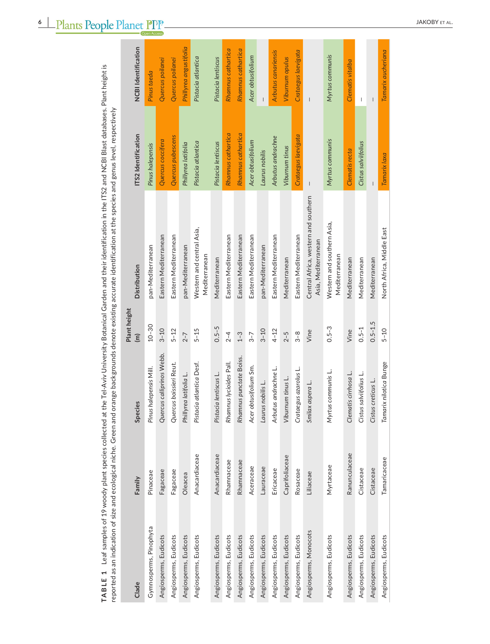# **6 | P**|ants People P|anet PPF<sup>}</sup>

| ì<br>j<br>i<br>ļ<br>i<br>$\frac{1}{2}$<br>l<br>י<br>ג<br>;<br>;<br>;<br>;<br>i<br>1<br>ē<br>$\frac{1}{3}$<br>١<br>DATE PTP 75<br>∷י כט⊏ו<br>Ī<br>$\frac{1}{2}$<br>put udput-)  t.vii<br>=<br>5<br>-<br>5<br>5<br>)<br>J<br>O<br>I hivorcity Boton<br>נ<br>הייבה<br>ה<br>Ĺ<br>ı<br>I<br>cted at<br>נ<br>גר<br>$\overline{\phantom{a}}$<br>1<br>ا<br>ا<br>֦֢֢֧֦֧ׅ֧֧֧֧֧֧֧֧ׅ֧֧ׅ֧֧ׅ֧֧ׅ֧֧֧֚֚֚֚֚֚֚֚֚֚֚֚֚֚֚֚֚֚֚֚֚֚֚֚֚֚֚֝֘֝֘֝֜֓֡֓֡֓֓֓֓֓֡֓֓֡֜֓֝֬֜֓֝֬֜֓֝֬֜֝֬֝֬<br>¢<br>ï<br>S<br>$-15$<br>֧֦֧֦֧֦֧֦֧֦֧֦֧֦֧֦֧֦֧֦֧֦֧֦֧֦֧֦֧֦֝֝<br>$\ddot{\phantom{0}}$<br>$\frac{1}{2}$<br>¢<br>ś<br>ist is a<br>5<br>j<br>1<br>ı<br>ı | $\overline{\mathsf{P}}$<br>えくらく<br>j<br>i<br>ة<br>ك<br>֚֝<br>֧֪֧֧֚֚֚֝֓ <u>֓</u><br>ׇ֧֪֧֧֖֧֚֝֬֬֬֝֬<br>֧֧֦֧֖֖֖֧֧֧֧֚֚֚֚֚֚֚֚֚֝֟֟֟֓֕֝֝֬֝֝֝֝֓֝֬֝֬֝֬֝<br>֧֪֧֧֧֧֧֧֧֚֚֚֚֚֚֚֚֚֚֚֚֚֚֚֚֚֚֚֚֚֚֝֝֝֝֝֝֬֝֬֝֬<br>ś<br>i<br>j<br>こくにん<br>s<br>C<br>$\frac{1}{2}$<br>$\frac{1}{2}$<br>į<br>יני - ב-1<br>ד<br>an ann ha<br>$\overline{ }$<br>í<br>١<br>j<br>I<br>į<br>I<br>)<br>)<br>ं<br>र<br>)<br>1<br>֕<br>،<br>٥<br>j<br>ļ<br>į<br>í<br>S<br>・・・・・・・・・・<br>.<br>.<br>. |
|---------------------------------------------------------------------------------------------------------------------------------------------------------------------------------------------------------------------------------------------------------------------------------------------------------------------------------------------------------------------------------------------------------------------------------------------------------------------------------------------------------------------------------------------------------------------------------------------------------|--------------------------------------------------------------------------------------------------------------------------------------------------------------------------------------------------------------------------------------------------------------------------------------------------------------------------------------------------------------------------------------------------------------------------------------------------------|
|                                                                                                                                                                                                                                                                                                                                                                                                                                                                                                                                                                                                         | đ<br>١                                                                                                                                                                                                                                                                                                                                                                                                                                                 |

| Clade                  | Family         | Species                   | Plant height<br>$\widehat{\Xi}$ | <b>Distribution</b>                                         | ITS2 Identification | <b>NCBI</b> Identification |
|------------------------|----------------|---------------------------|---------------------------------|-------------------------------------------------------------|---------------------|----------------------------|
| Gymnosperms, Pinophyta | Pinaceae       | Pinus halepensis Mill.    | $10 - 30$                       | pan-Mediterranean                                           | Pinus halepensis    | Pinus taeda                |
| Angiosperms, Eudicots  | Fagaceae       | Quercus calliprinos Webb. | $3 - 10$                        | Eastern Mediterranean                                       | Quercus coccifera   | Quercus poilanei           |
| Angiosperms, Eudicots  | Fagaceae       | Quercus boissieri Reut.   | $5 - 12$                        | Eastern Mediterranean                                       | Quercus pubescens   | Quercus poilanei           |
| Angiosperms, Eudicots  | Oleacea        | Phillyrea latifolia L.    | $2 - 7$                         | pan-Mediterranean                                           | Phillyrea latifolia | Phillyrea angustifolia     |
| Angiosperms, Eudicots  | Anacardiaceae  | Pistacia atlantica Desf.  | $5 - 15$                        | Western and central Asia,<br>Mediterranean                  | Pistacia atlantica  | Pistacia atlantica         |
| Angiosperms, Eudicots  | Anacardiaceae  | Pistacia lentiscus L.     | $0.5 - 5$                       | Mediterranean                                               | Pistacia lentiscus  | Pistacia lentiscus         |
| Angiosperms, Eudicots  | Rhamnaceae     | Rhamnus lycioides Pall.   | $^{2-4}$                        | Eastern Mediterranean                                       | Rhamnus cathartica  | Rhamnus cathartica         |
| Angiosperms, Eudicots  | Rhamnaceae     | Rhamnus punctate Boiss.   | $1 - 3$                         | Eastern Mediterranean                                       | Rhamnus cathartica  | Rhamnus cathartica         |
| Angiosperms, Eudicots  | Aceraceae      | Acer obtusifolium Sm.     | $3 - 7$                         | Eastern Mediterranean                                       | Acer obtusifolium   | Acer obtusifolium          |
| Angiosperms, Eudicots  | Lauraceae      | Laurus nobilis L.         | $3 - 10$                        | pan-Mediterranean                                           | Laurus nobilis      |                            |
| Angiosperms, Eudicots  | Ericaceae      | Arbutus andrachne L.      | $4 - 12$                        | Eastern Mediterranean                                       | Arbutus andrachne   | Arbutus canariensis        |
| Angiosperms, Eudicots  | Caprifoliaceae | Viburnum tinus L.         | $2 - 5$                         | Mediterranean                                               | Viburnum tinus      | <b>Viburnum opulus</b>     |
| Angiosperms, Eudicots  | Rosaceae       | Crataegus azarolus L.     | $3 - 8$                         | Eastern Mediterranean                                       | Crataegus laevigata | Crataegus laevigata        |
| Angiosperms, Monocots  | Liliaceae      | Smilax aspera L.          | Vine                            | Central Africa, western and southern<br>Asia, Mediterranean |                     | $\overline{\phantom{a}}$   |
| Angiosperms, Eudicots  | Myrtaceae      | Myrtus communis L.        | $0.5 - 3$                       | Western and southern Asia,<br>Mediterranean                 | Myrtus communis     | Myrtus communis            |
| Angiosperms, Eudicots  | Ranunculaceae  | Clematis cirrhosa L.      | Vine                            | Mediterranean                                               | Clematis recta      | Clematis vitalba           |
| Angiosperms, Eudicots  | Cistaceae      | Cistus salviifolius L.    | $0.5 - 1$                       | Mediterranean                                               | Cistus salviifolius | I                          |
| Angiosperms, Eudicots  | Cistaceae      | Cistus creticus L.        | $0.5 - 1.5$                     | Mediterranean                                               |                     | $\overline{\phantom{a}}$   |
| Angiosperms, Eudicots  | Tamaricaceae   | Tamarix nilotica Bunge    | $5 - 10$                        | North Africa, Middle East                                   | Tamarix laxa        | Tamarix aucheriana         |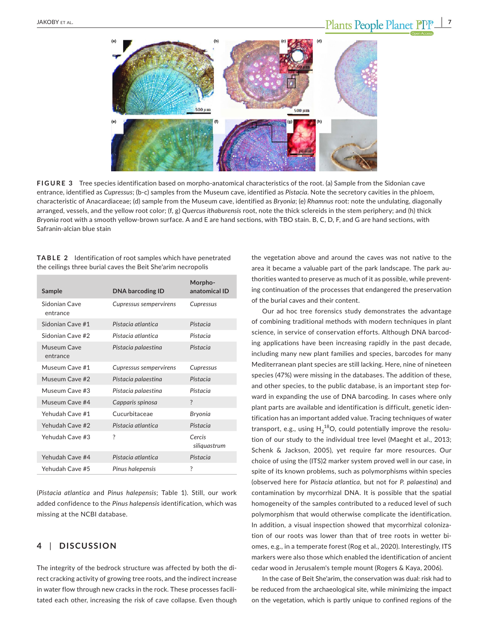

**FIGURE 3** Tree species identification based on morpho-anatomical characteristics of the root. (a) Sample from the Sidonian cave entrance, identified as *Cupressus*; (b-c) samples from the Museum cave, identified as *Pistacia*. Note the secretory cavities in the phloem, characteristic of Anacardiaceae; (d) sample from the Museum cave, identified as *Bryonia*; (e) *Rhamnus* root: note the undulating, diagonally arranged, vessels, and the yellow root color; (f, g) *Quercus ithaburensis* root, note the thick sclereids in the stem periphery; and (h) thick *Bryonia* root with a smooth yellow-brown surface. A and E are hand sections, with TBO stain. B, C, D, F, and G are hand sections, with Safranin-alcian blue stain

| <b>TABLE 2</b> Identification of root samples which have penetrated |
|---------------------------------------------------------------------|
| the ceilings three burial caves the Beit She'arim necropolis        |

| Sample                    | <b>DNA barcoding ID</b> | Morpho-<br>anatomical ID |
|---------------------------|-------------------------|--------------------------|
| Sidonian Cave<br>entrance | Cupressus sempervirens  | Cupressus                |
| Sidonian Cave #1          | Pistacia atlantica      | Pistacia                 |
| Sidonian Cave #2          | Pistacia atlantica      | Pistacia                 |
| Museum Cave<br>entrance   | Pistacia palaestina     | Pistacia                 |
| Museum Cave #1            | Cupressus sempervirens  | Cupressus                |
| Museum Cave #2            | Pistacia palaestina     | Pistacia                 |
| Museum Cave #3            | Pistacia palaestina     | Pistacia                 |
| Museum Cave #4            | Capparis spinosa        | ?                        |
| Yehudah Cave #1           | Cucurbitaceae           | Bryonia                  |
| Yehudah Cave #2           | Pistacia atlantica      | Pistacia                 |
| Yehudah Cave #3           | ?                       | Cercis<br>siliquastrum   |
| Yehudah Cave #4           | Pistacia atlantica      | Pistacia                 |
| Yehudah Cave #5           | Pinus halepensis        | ?                        |

(*Pistacia atlantica* and *Pinus halepensis*; Table 1). Still, our work added confidence to the *Pinus halepensis* identification, which was missing at the NCBI database.

# **4** | **DISCUSSION**

The integrity of the bedrock structure was affected by both the direct cracking activity of growing tree roots, and the indirect increase in water flow through new cracks in the rock. These processes facilitated each other, increasing the risk of cave collapse. Even though the vegetation above and around the caves was not native to the area it became a valuable part of the park landscape. The park authorities wanted to preserve as much of it as possible, while preventing continuation of the processes that endangered the preservation of the burial caves and their content.

Our ad hoc tree forensics study demonstrates the advantage of combining traditional methods with modern techniques in plant science, in service of conservation efforts. Although DNA barcoding applications have been increasing rapidly in the past decade, including many new plant families and species, barcodes for many Mediterranean plant species are still lacking. Here, nine of nineteen species (47%) were missing in the databases. The addition of these, and other species, to the public database, is an important step forward in expanding the use of DNA barcoding. In cases where only plant parts are available and identification is difficult, genetic identification has an important added value. Tracing techniques of water transport, e.g., using  $H_2^{18}O$ , could potentially improve the resolution of our study to the individual tree level (Maeght et al., 2013; Schenk & Jackson, 2005), yet require far more resources. Our choice of using the (ITS)2 marker system proved well in our case, in spite of its known problems, such as polymorphisms within species (observed here for *Pistacia atlantica*, but not for *P. palaestina*) and contamination by mycorrhizal DNA. It is possible that the spatial homogeneity of the samples contributed to a reduced level of such polymorphism that would otherwise complicate the identification. In addition, a visual inspection showed that mycorrhizal colonization of our roots was lower than that of tree roots in wetter biomes, e.g., in a temperate forest (Rog et al., 2020). Interestingly, ITS markers were also those which enabled the identification of ancient cedar wood in Jerusalem's temple mount (Rogers & Kaya, 2006).

In the case of Beit She'arim, the conservation was dual: risk had to be reduced from the archaeological site, while minimizing the impact on the vegetation, which is partly unique to confined regions of the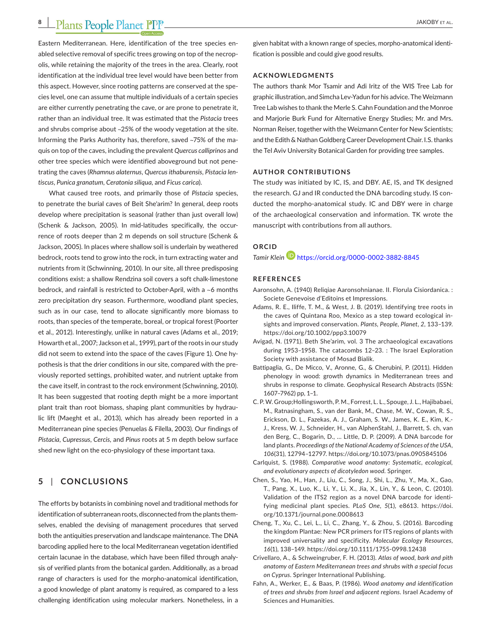# **8 |**  JAKOBY et al.

Eastern Mediterranean. Here, identification of the tree species enabled selective removal of specific trees growing on top of the necropolis, while retaining the majority of the trees in the area. Clearly, root identification at the individual tree level would have been better from this aspect. However, since rooting patterns are conserved at the species level, one can assume that multiple individuals of a certain species are either currently penetrating the cave, or are prone to penetrate it, rather than an individual tree. It was estimated that the *Pistacia* trees and shrubs comprise about ~25% of the woody vegetation at the site. Informing the Parks Authority has, therefore, saved ~75% of the maquis on top of the caves, including the prevalent *Quercus calliprinos* and other tree species which were identified aboveground but not penetrating the caves (*Rhamnus alaternus*, *Quercus ithaburensis*, *Pistacia lentiscus*, *Punica granatum*, *Ceratonia siliqua*, and *Ficus carica*).

What caused tree roots, and primarily those of *Pistacia* species, to penetrate the burial caves of Beit She'arim? In general, deep roots develop where precipitation is seasonal (rather than just overall low) (Schenk & Jackson, 2005). In mid-latitudes specifically, the occurrence of roots deeper than 2 m depends on soil structure (Schenk & Jackson, 2005). In places where shallow soil is underlain by weathered bedrock, roots tend to grow into the rock, in turn extracting water and nutrients from it (Schwinning, 2010). In our site, all three predisposing conditions exist: a shallow Rendzina soil covers a soft chalk-limestone bedrock, and rainfall is restricted to October-April, with a ~6 months zero precipitation dry season. Furthermore, woodland plant species, such as in our case, tend to allocate significantly more biomass to roots, than species of the temperate, boreal, or tropical forest (Poorter et al., 2012). Interestingly, unlike in natural caves (Adams et al., 2019; Howarth et al., 2007; Jackson et al., 1999), part of the roots in our study did not seem to extend into the space of the caves (Figure 1). One hypothesis is that the drier conditions in our site, compared with the previously reported settings, prohibited water, and nutrient uptake from the cave itself, in contrast to the rock environment (Schwinning, 2010). It has been suggested that rooting depth might be a more important plant trait than root biomass, shaping plant communities by hydraulic lift (Maeght et al., 2013), which has already been reported in a Mediterranean pine species (Penuelas & Filella, 2003). Our findings of *Pistacia*, *Cupressus*, *Cercis,* and *Pinus* roots at 5 m depth below surface shed new light on the eco-physiology of these important taxa.

# **5** | **CONCLUSIONS**

The efforts by botanists in combining novel and traditional methods for identification of subterranean roots, disconnected from the plants themselves, enabled the devising of management procedures that served both the antiquities preservation and landscape maintenance. The DNA barcoding applied here to the local Mediterranean vegetation identified certain lacunae in the database, which have been filled through analysis of verified plants from the botanical garden. Additionally, as a broad range of characters is used for the morpho-anatomical identification, a good knowledge of plant anatomy is required, as compared to a less challenging identification using molecular markers. Nonetheless, in a

given habitat with a known range of species, morpho-anatomical identification is possible and could give good results.

#### **ACKNOWLEDGMENTS**

The authors thank Mor Tsamir and Adi Iritz of the WIS Tree Lab for graphic illustration, and Simcha Lev-Yadun for his advice. The Weizmann Tree Lab wishes to thank the Merle S. Cahn Foundation and the Monroe and Marjorie Burk Fund for Alternative Energy Studies; Mr. and Mrs. Norman Reiser, together with the Weizmann Center for New Scientists; and the Edith & Nathan Goldberg Career Development Chair. I.S. thanks the Tel Aviv University Botanical Garden for providing tree samples.

#### **AUTHOR CONTRIBUTIONS**

The study was initiated by IC, IS, and DBY. AE, IS, and TK designed the research. GJ and IR conducted the DNA barcoding study. IS conducted the morpho-anatomical study. IC and DBY were in charge of the archaeological conservation and information. TK wrote the manuscript with contributions from all authors.

## **ORCID**

*Tamir Klein* <https://orcid.org/0000-0002-3882-8845>

#### **REFERENCES**

- Aaronsohn, A. (1940) Reliqiae Aaronsohnianae. II. Florula Cisiordanica. : Societe Genevoise d'Editoins et Impressions.
- Adams, R. E., Iliffe, T. M., & West, J. B. (2019). Identifying tree roots in the caves of Quintana Roo, Mexico as a step toward ecological insights and improved conservation. *Plants, People, Planet*, *2*, 133–139. <https://doi.org/10.1002/ppp3.10079>
- Avigad, N. (1971). Beth She'arim, vol. 3 The archaeological excavations during 1953–1958. The catacombs 12–23. : The Israel Exploration Society with assistance of Mosad Bialik.
- Battipaglia, G., De Micco, V., Aronne, G., & Cherubini, P. (2011). Hidden phenology in wood: growth dynamics in Mediterranean trees and shrubs in response to climate. Geophysical Research Abstracts (ISSN: 1607–7962) pp, 1–1.
- C. P. W. Group;Hollingsworth, P. M., Forrest, L. L., Spouge, J. L., Hajibabaei, M., Ratnasingham, S., van der Bank, M., Chase, M. W., Cowan, R. S., Erickson, D. L., Fazekas, A. J., Graham, S. W., James, K. E., Kim, K.- J., Kress, W. J., Schneider, H., van AlphenStahl, J., Barrett, S. ch, van den Berg, C., Bogarin, D., … Little, D. P. (2009). A DNA barcode for land plants. *Proceedings of the National Academy of Sciences of the USA*, *106*(31), 12794–12797.<https://doi.org/10.1073/pnas.0905845106>
- Carlquist, S. (1988). *Comparative wood anatomy: Systematic, ecological, and evolutionary aspects of dicotyledon wood*. Springer.
- Chen, S., Yao, H., Han, J., Liu, C., Song, J., Shi, L., Zhu, Y., Ma, X., Gao, T., Pang, X., Luo, K., Li, Y., Li, X., Jia, X., Lin, Y., & Leon, C. (2010). Validation of the ITS2 region as a novel DNA barcode for identifying medicinal plant species. *PLoS One*, *5*(1), e8613. [https://doi.](https://doi.org/10.1371/journal.pone.0008613) [org/10.1371/journal.pone.0008613](https://doi.org/10.1371/journal.pone.0008613)
- Cheng, T., Xu, C., Lei, L., Li, C., Zhang, Y., & Zhou, S. (2016). Barcoding the kingdom Plantae: New PCR primers for ITS regions of plants with improved universality and specificity. *Molecular Ecology Resources*, *16*(1), 138–149. <https://doi.org/10.1111/1755-0998.12438>
- Crivellaro, A., & Schweingruber, F. H. (2013). *Atlas of wood, bark and pith anatomy of Eastern Mediterranean trees and shrubs with a special focus on Cyprus*. Springer International Publishing.
- Fahn, A., Werker, E., & Baas, P. (1986). *Wood anatomy and identification of trees and shrubs from Israel and adjacent regions*. Israel Academy of Sciences and Humanities.